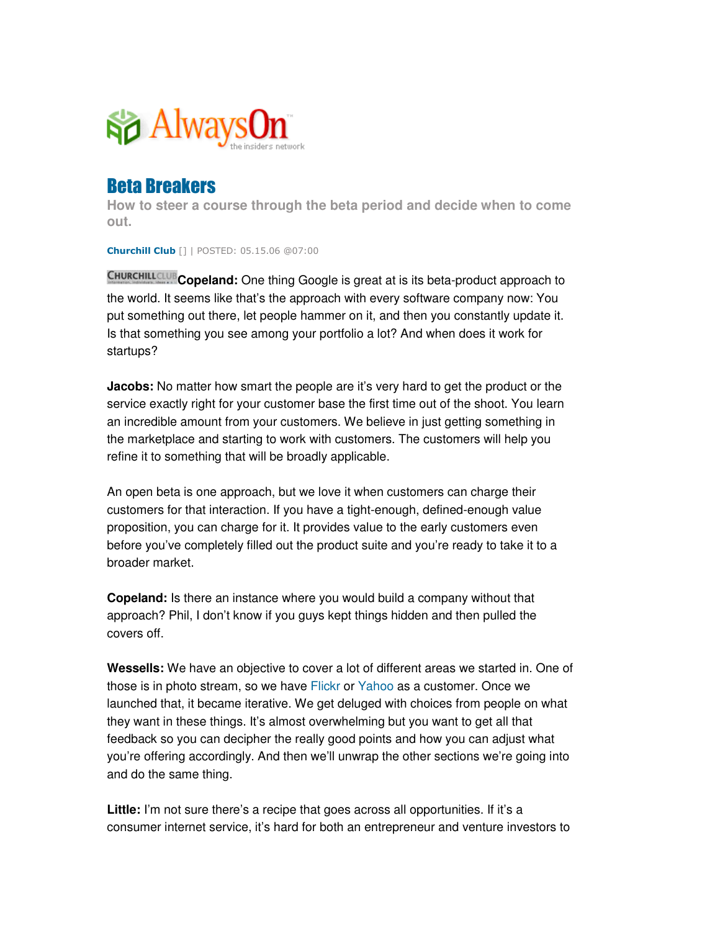

## **Beta Breakers**

**How to steer a course through the beta period and decide when to come out.**

**Churchill Club** [] | POSTED: 05.15.06 @07:00

**Copeland:** One thing Google is great at is its beta-product approach to the world. It seems like that's the approach with every software company now: You put something out there, let people hammer on it, and then you constantly update it. Is that something you see among your portfolio a lot? And when does it work for startups?

**Jacobs:** No matter how smart the people are it's very hard to get the product or the service exactly right for your customer base the first time out of the shoot. You learn an incredible amount from your customers. We believe in just getting something in the marketplace and starting to work with customers. The customers will help you refine it to something that will be broadly applicable.

An open beta is one approach, but we love it when customers can charge their customers for that interaction. If you have a tight-enough, defined-enough value proposition, you can charge for it. It provides value to the early customers even before you've completely filled out the product suite and you're ready to take it to a broader market.

**Copeland:** Is there an instance where you would build a company without that approach? Phil, I don't know if you guys kept things hidden and then pulled the covers off.

**Wessells:** We have an objective to cover a lot of different areas we started in. One of those is in photo stream, so we have Flickr or Yahoo as a customer. Once we launched that, it became iterative. We get deluged with choices from people on what they want in these things. It's almost overwhelming but you want to get all that feedback so you can decipher the really good points and how you can adjust what you're offering accordingly. And then we'll unwrap the other sections we're going into and do the same thing.

**Little:** I'm not sure there's a recipe that goes across all opportunities. If it's a consumer internet service, it's hard for both an entrepreneur and venture investors to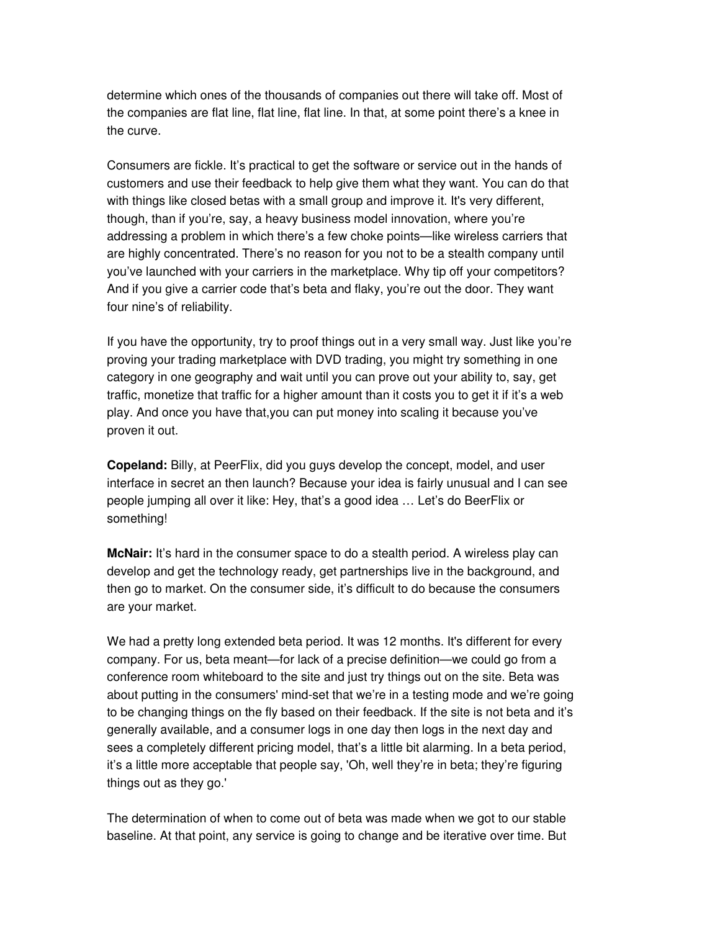determine which ones of the thousands of companies out there will take off. Most of the companies are flat line, flat line, flat line. In that, at some point there's a knee in the curve.

Consumers are fickle. It's practical to get the software or service out in the hands of customers and use their feedback to help give them what they want. You can do that with things like closed betas with a small group and improve it. It's very different, though, than if you're, say, a heavy business model innovation, where you're addressing a problem in which there's a few choke points—like wireless carriers that are highly concentrated. There's no reason for you not to be a stealth company until you've launched with your carriers in the marketplace. Why tip off your competitors? And if you give a carrier code that's beta and flaky, you're out the door. They want four nine's of reliability.

If you have the opportunity, try to proof things out in a very small way. Just like you're proving your trading marketplace with DVD trading, you might try something in one category in one geography and wait until you can prove out your ability to, say, get traffic, monetize that traffic for a higher amount than it costs you to get it if it's a web play. And once you have that,you can put money into scaling it because you've proven it out.

**Copeland:** Billy, at PeerFlix, did you guys develop the concept, model, and user interface in secret an then launch? Because your idea is fairly unusual and I can see people jumping all over it like: Hey, that's a good idea … Let's do BeerFlix or something!

**McNair:** It's hard in the consumer space to do a stealth period. A wireless play can develop and get the technology ready, get partnerships live in the background, and then go to market. On the consumer side, it's difficult to do because the consumers are your market.

We had a pretty long extended beta period. It was 12 months. It's different for every company. For us, beta meant—for lack of a precise definition—we could go from a conference room whiteboard to the site and just try things out on the site. Beta was about putting in the consumers'mind-set that we're in a testing mode and we're going to be changing things on the fly based on their feedback. If the site is not beta and it's generally available, and a consumer logs in one day then logs in the next day and sees a completely different pricing model, that's a little bit alarming. In a beta period, it's a little more acceptable that people say, 'Oh, well they're in beta; they're figuring things out as they go.'

The determination of when to come out of beta was made when we got to our stable baseline. At that point, any service is going to change and be iterative over time. But